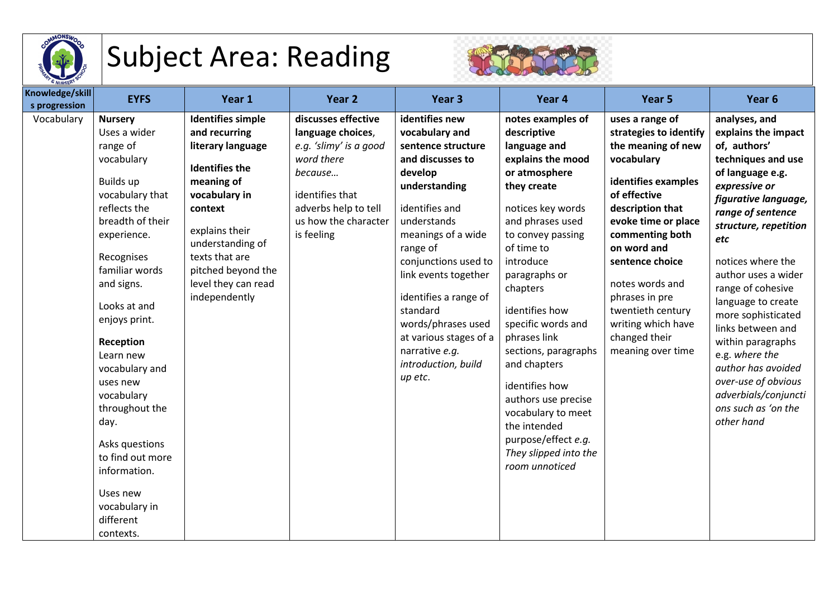

## Subject Area: Reading



| Knowledge/skill<br>s progression | <b>EYFS</b>                                                                                                                                                                                                                                                                                                                                                                                                                             | Year 1                                                                                                                                                                                                                                                  | Year 2                                                                                                                                                                       | Year <sub>3</sub>                                                                                                                                                                                                                                                                                                                                                  | Year 4                                                                                                                                                                                                                                                                                                                                                                                                                                                                       | Year 5                                                                                                                                                                                                                                                                                                                                     | Year <sub>6</sub>                                                                                                                                                                                                                                                                                                                                                                                                                                                               |
|----------------------------------|-----------------------------------------------------------------------------------------------------------------------------------------------------------------------------------------------------------------------------------------------------------------------------------------------------------------------------------------------------------------------------------------------------------------------------------------|---------------------------------------------------------------------------------------------------------------------------------------------------------------------------------------------------------------------------------------------------------|------------------------------------------------------------------------------------------------------------------------------------------------------------------------------|--------------------------------------------------------------------------------------------------------------------------------------------------------------------------------------------------------------------------------------------------------------------------------------------------------------------------------------------------------------------|------------------------------------------------------------------------------------------------------------------------------------------------------------------------------------------------------------------------------------------------------------------------------------------------------------------------------------------------------------------------------------------------------------------------------------------------------------------------------|--------------------------------------------------------------------------------------------------------------------------------------------------------------------------------------------------------------------------------------------------------------------------------------------------------------------------------------------|---------------------------------------------------------------------------------------------------------------------------------------------------------------------------------------------------------------------------------------------------------------------------------------------------------------------------------------------------------------------------------------------------------------------------------------------------------------------------------|
| Vocabulary                       | <b>Nursery</b><br>Uses a wider<br>range of<br>vocabulary<br>Builds up<br>vocabulary that<br>reflects the<br>breadth of their<br>experience.<br>Recognises<br>familiar words<br>and signs.<br>Looks at and<br>enjoys print.<br>Reception<br>Learn new<br>vocabulary and<br>uses new<br>vocabulary<br>throughout the<br>day.<br>Asks questions<br>to find out more<br>information.<br>Uses new<br>vocabulary in<br>different<br>contexts. | <b>Identifies simple</b><br>and recurring<br>literary language<br><b>Identifies the</b><br>meaning of<br>vocabulary in<br>context<br>explains their<br>understanding of<br>texts that are<br>pitched beyond the<br>level they can read<br>independently | discusses effective<br>language choices,<br>e.g. 'slimy' is a good<br>word there<br>because<br>identifies that<br>adverbs help to tell<br>us how the character<br>is feeling | identifies new<br>vocabulary and<br>sentence structure<br>and discusses to<br>develop<br>understanding<br>identifies and<br>understands<br>meanings of a wide<br>range of<br>conjunctions used to<br>link events together<br>identifies a range of<br>standard<br>words/phrases used<br>at various stages of a<br>narrative e.g.<br>introduction, build<br>up etc. | notes examples of<br>descriptive<br>language and<br>explains the mood<br>or atmosphere<br>they create<br>notices key words<br>and phrases used<br>to convey passing<br>of time to<br>introduce<br>paragraphs or<br>chapters<br>identifies how<br>specific words and<br>phrases link<br>sections, paragraphs<br>and chapters<br>identifies how<br>authors use precise<br>vocabulary to meet<br>the intended<br>purpose/effect e.g.<br>They slipped into the<br>room unnoticed | uses a range of<br>strategies to identify<br>the meaning of new<br>vocabulary<br>identifies examples<br>of effective<br>description that<br>evoke time or place<br>commenting both<br>on word and<br>sentence choice<br>notes words and<br>phrases in pre<br>twentieth century<br>writing which have<br>changed their<br>meaning over time | analyses, and<br>explains the impact<br>of, authors'<br>techniques and use<br>of language e.g.<br>expressive or<br>figurative language,<br>range of sentence<br>structure, repetition<br>etc<br>notices where the<br>author uses a wider<br>range of cohesive<br>language to create<br>more sophisticated<br>links between and<br>within paragraphs<br>e.g. where the<br>author has avoided<br>over-use of obvious<br>adverbials/conjuncti<br>ons such as 'on the<br>other hand |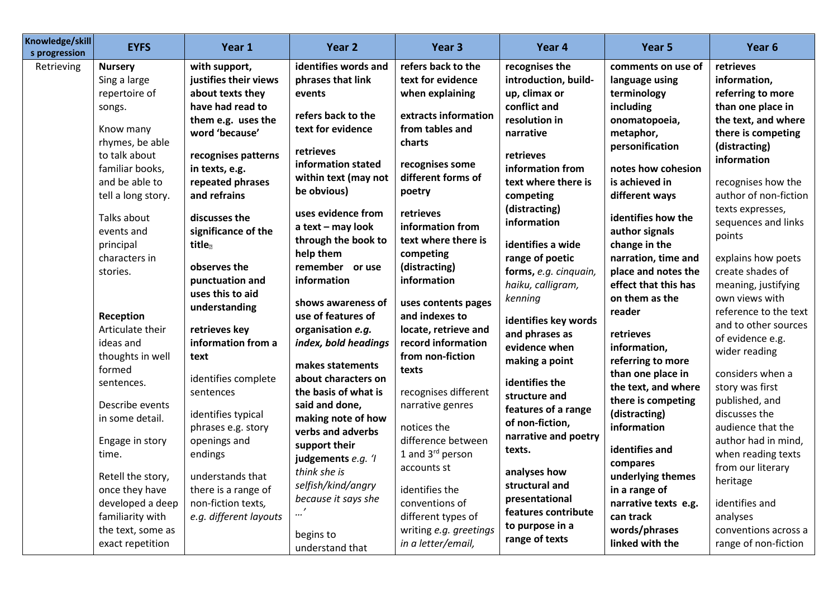| Knowledge/skill<br>s progression | <b>EYFS</b>        | Year 1                 | Year 2                                   | Year <sub>3</sub>                     | Year 4                | Year 5               | Year <sub>6</sub>     |
|----------------------------------|--------------------|------------------------|------------------------------------------|---------------------------------------|-----------------------|----------------------|-----------------------|
| Retrieving                       | <b>Nursery</b>     | with support,          | identifies words and                     | refers back to the                    | recognises the        | comments on use of   | retrieves             |
|                                  | Sing a large       | justifies their views  | phrases that link                        | text for evidence                     | introduction, build-  | language using       | information,          |
|                                  | repertoire of      | about texts they       | events                                   | when explaining                       | up, climax or         | terminology          | referring to more     |
|                                  | songs.             | have had read to       |                                          |                                       | conflict and          | including            | than one place in     |
|                                  |                    | them e.g. uses the     | refers back to the                       | extracts information                  | resolution in         | onomatopoeia,        | the text, and where   |
|                                  | Know many          | word 'because'         | text for evidence                        | from tables and                       | narrative             | metaphor,            | there is competing    |
|                                  | rhymes, be able    |                        | retrieves                                | charts                                |                       | personification      | (distracting)         |
|                                  | to talk about      | recognises patterns    | information stated                       | recognises some                       | retrieves             |                      | information           |
|                                  | familiar books,    | in texts, e.g.         | within text (may not                     | different forms of                    | information from      | notes how cohesion   |                       |
|                                  | and be able to     | repeated phrases       | be obvious)                              | poetry                                | text where there is   | is achieved in       | recognises how the    |
|                                  | tell a long story. | and refrains           |                                          |                                       | competing             | different ways       | author of non-fiction |
|                                  | Talks about        | discusses the          | uses evidence from                       | retrieves                             | (distracting)         | identifies how the   | texts expresses,      |
|                                  | events and         | significance of the    | a text - may look                        | information from                      | information           | author signals       | sequences and links   |
|                                  | principal          | title                  | through the book to                      | text where there is                   | identifies a wide     | change in the        | points                |
|                                  | characters in      |                        | help them                                | competing                             | range of poetic       | narration, time and  | explains how poets    |
|                                  | stories.           | observes the           | remember or use                          | (distracting)                         | forms, e.g. cinquain, | place and notes the  | create shades of      |
|                                  |                    | punctuation and        | information                              | information                           | haiku, calligram,     | effect that this has | meaning, justifying   |
|                                  |                    | uses this to aid       |                                          |                                       | kenning               | on them as the       | own views with        |
|                                  | Reception          | understanding          | shows awareness of<br>use of features of | uses contents pages<br>and indexes to |                       | reader               | reference to the text |
|                                  | Articulate their   | retrieves key          | organisation e.g.                        | locate, retrieve and                  | identifies key words  |                      | and to other sources  |
|                                  | ideas and          | information from a     |                                          | record information                    | and phrases as        | retrieves            | of evidence e.g.      |
|                                  | thoughts in well   |                        | index, bold headings                     | from non-fiction                      | evidence when         | information,         | wider reading         |
|                                  | formed             | text                   | makes statements                         | texts                                 | making a point        | referring to more    |                       |
|                                  |                    | identifies complete    | about characters on                      |                                       | identifies the        | than one place in    | considers when a      |
|                                  | sentences.         | sentences              | the basis of what is                     | recognises different                  | structure and         | the text, and where  | story was first       |
|                                  | Describe events    |                        | said and done,                           | narrative genres                      | features of a range   | there is competing   | published, and        |
|                                  | in some detail.    | identifies typical     | making note of how                       |                                       | of non-fiction,       | (distracting)        | discusses the         |
|                                  |                    | phrases e.g. story     | verbs and adverbs                        | notices the                           | narrative and poetry  | information          | audience that the     |
|                                  | Engage in story    | openings and           | support their                            | difference between                    | texts.                | identifies and       | author had in mind,   |
|                                  | time.              | endings                | judgements e.g. 'I                       | 1 and 3 <sup>rd</sup> person          |                       | compares             | when reading texts    |
|                                  | Retell the story,  | understands that       | think she is                             | accounts st                           | analyses how          | underlying themes    | from our literary     |
|                                  | once they have     | there is a range of    | selfish/kind/angry                       | identifies the                        | structural and        | in a range of        | heritage              |
|                                  | developed a deep   | non-fiction texts,     | because it says she                      | conventions of                        | presentational        | narrative texts e.g. | identifies and        |
|                                  | familiarity with   | e.g. different layouts |                                          | different types of                    | features contribute   | can track            | analyses              |
|                                  | the text, some as  |                        |                                          | writing e.g. greetings                | to purpose in a       | words/phrases        | conventions across a  |
|                                  | exact repetition   |                        | begins to                                | in a letter/email,                    | range of texts        | linked with the      | range of non-fiction  |
|                                  |                    |                        | understand that                          |                                       |                       |                      |                       |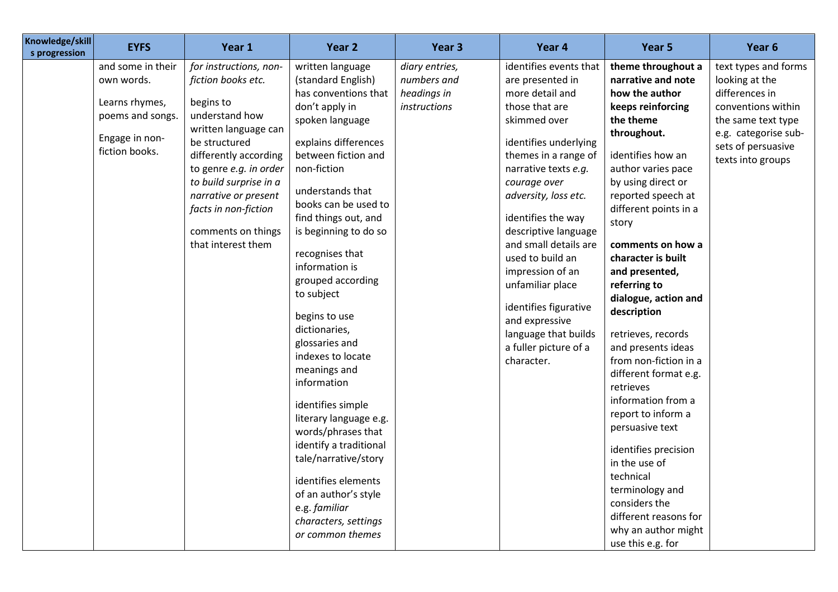| Knowledge/skill<br>s progression | <b>EYFS</b>                                                                                               | Year 1                                                                                                                                                                                                                                                                                        | Year 2                                                                                                                                                                                                                                                                                                                                                                                                                                                                                                                                                                                                                                                                            | Year 3                                                       | Year 4                                                                                                                                                                                                                                                                                                                                                                                                                                                        | Year 5                                                                                                                                                                                                                                                                                                                                                                                                                                                                                                                                                                                                                                                                                            | Year 6                                                                                                                                                                  |
|----------------------------------|-----------------------------------------------------------------------------------------------------------|-----------------------------------------------------------------------------------------------------------------------------------------------------------------------------------------------------------------------------------------------------------------------------------------------|-----------------------------------------------------------------------------------------------------------------------------------------------------------------------------------------------------------------------------------------------------------------------------------------------------------------------------------------------------------------------------------------------------------------------------------------------------------------------------------------------------------------------------------------------------------------------------------------------------------------------------------------------------------------------------------|--------------------------------------------------------------|---------------------------------------------------------------------------------------------------------------------------------------------------------------------------------------------------------------------------------------------------------------------------------------------------------------------------------------------------------------------------------------------------------------------------------------------------------------|---------------------------------------------------------------------------------------------------------------------------------------------------------------------------------------------------------------------------------------------------------------------------------------------------------------------------------------------------------------------------------------------------------------------------------------------------------------------------------------------------------------------------------------------------------------------------------------------------------------------------------------------------------------------------------------------------|-------------------------------------------------------------------------------------------------------------------------------------------------------------------------|
|                                  | and some in their<br>own words.<br>Learns rhymes,<br>poems and songs.<br>Engage in non-<br>fiction books. | for instructions, non-<br>fiction books etc.<br>begins to<br>understand how<br>written language can<br>be structured<br>differently according<br>to genre e.g. in order<br>to build surprise in a<br>narrative or present<br>facts in non-fiction<br>comments on things<br>that interest them | written language<br>(standard English)<br>has conventions that<br>don't apply in<br>spoken language<br>explains differences<br>between fiction and<br>non-fiction<br>understands that<br>books can be used to<br>find things out, and<br>is beginning to do so<br>recognises that<br>information is<br>grouped according<br>to subject<br>begins to use<br>dictionaries,<br>glossaries and<br>indexes to locate<br>meanings and<br>information<br>identifies simple<br>literary language e.g.<br>words/phrases that<br>identify a traditional<br>tale/narrative/story<br>identifies elements<br>of an author's style<br>e.g. familiar<br>characters, settings<br>or common themes | diary entries,<br>numbers and<br>headings in<br>instructions | identifies events that<br>are presented in<br>more detail and<br>those that are<br>skimmed over<br>identifies underlying<br>themes in a range of<br>narrative texts e.g.<br>courage over<br>adversity, loss etc.<br>identifies the way<br>descriptive language<br>and small details are<br>used to build an<br>impression of an<br>unfamiliar place<br>identifies figurative<br>and expressive<br>language that builds<br>a fuller picture of a<br>character. | theme throughout a<br>narrative and note<br>how the author<br>keeps reinforcing<br>the theme<br>throughout.<br>identifies how an<br>author varies pace<br>by using direct or<br>reported speech at<br>different points in a<br>story<br>comments on how a<br>character is built<br>and presented,<br>referring to<br>dialogue, action and<br>description<br>retrieves, records<br>and presents ideas<br>from non-fiction in a<br>different format e.g.<br>retrieves<br>information from a<br>report to inform a<br>persuasive text<br>identifies precision<br>in the use of<br>technical<br>terminology and<br>considers the<br>different reasons for<br>why an author might<br>use this e.g. for | text types and forms<br>looking at the<br>differences in<br>conventions within<br>the same text type<br>e.g. categorise sub-<br>sets of persuasive<br>texts into groups |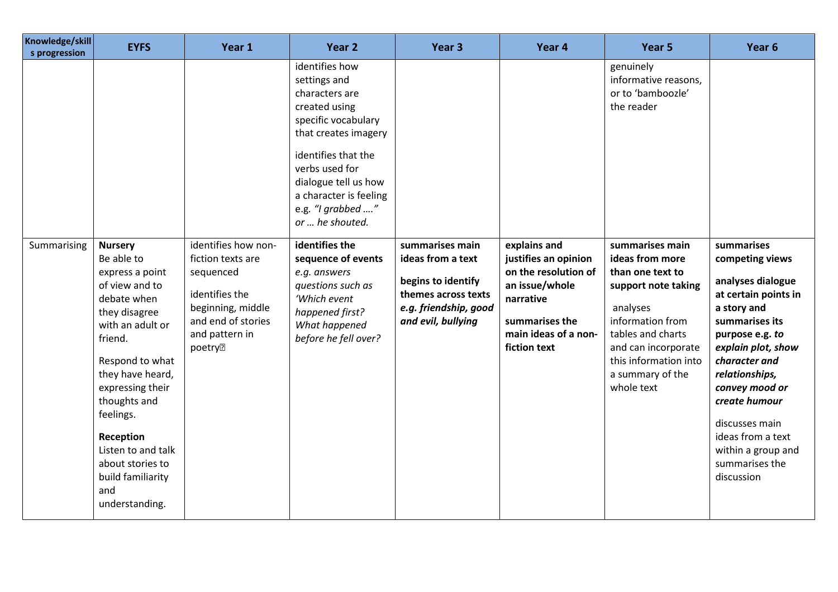| Knowledge/skill<br>s progression | <b>EYFS</b>                                                                                                                                                                                                                                                                                                 | Year 1                                                                                                                                          | Year 2                                                                                                                                                                                                                                                                                                                                                                                                       | Year <sub>3</sub>                                                                                                                | Year 4                                                                                                                                                | Year 5                                                                                                                                                                                                                                                                                       | Year <sub>6</sub>                                                                                                                                                                                                                                                                                                       |
|----------------------------------|-------------------------------------------------------------------------------------------------------------------------------------------------------------------------------------------------------------------------------------------------------------------------------------------------------------|-------------------------------------------------------------------------------------------------------------------------------------------------|--------------------------------------------------------------------------------------------------------------------------------------------------------------------------------------------------------------------------------------------------------------------------------------------------------------------------------------------------------------------------------------------------------------|----------------------------------------------------------------------------------------------------------------------------------|-------------------------------------------------------------------------------------------------------------------------------------------------------|----------------------------------------------------------------------------------------------------------------------------------------------------------------------------------------------------------------------------------------------------------------------------------------------|-------------------------------------------------------------------------------------------------------------------------------------------------------------------------------------------------------------------------------------------------------------------------------------------------------------------------|
| Summarising                      | <b>Nursery</b><br>Be able to<br>express a point<br>of view and to<br>debate when<br>they disagree<br>with an adult or<br>friend.<br>Respond to what<br>they have heard,<br>expressing their<br>thoughts and<br>feelings.<br>Reception<br>Listen to and talk<br>about stories to<br>build familiarity<br>and | identifies how non-<br>fiction texts are<br>sequenced<br>identifies the<br>beginning, middle<br>and end of stories<br>and pattern in<br>poetry? | identifies how<br>settings and<br>characters are<br>created using<br>specific vocabulary<br>that creates imagery<br>identifies that the<br>verbs used for<br>dialogue tell us how<br>a character is feeling<br>e.g. "I grabbed "<br>or  he shouted.<br>identifies the<br>sequence of events<br>e.g. answers<br>questions such as<br>'Which event<br>happened first?<br>What happened<br>before he fell over? | summarises main<br>ideas from a text<br>begins to identify<br>themes across texts<br>e.g. friendship, good<br>and evil, bullying | explains and<br>justifies an opinion<br>on the resolution of<br>an issue/whole<br>narrative<br>summarises the<br>main ideas of a non-<br>fiction text | genuinely<br>informative reasons,<br>or to 'bamboozle'<br>the reader<br>summarises main<br>ideas from more<br>than one text to<br>support note taking<br>analyses<br>information from<br>tables and charts<br>and can incorporate<br>this information into<br>a summary of the<br>whole text | summarises<br>competing views<br>analyses dialogue<br>at certain points in<br>a story and<br>summarises its<br>purpose e.g. to<br>explain plot, show<br>character and<br>relationships,<br>convey mood or<br>create humour<br>discusses main<br>ideas from a text<br>within a group and<br>summarises the<br>discussion |
|                                  | understanding.                                                                                                                                                                                                                                                                                              |                                                                                                                                                 |                                                                                                                                                                                                                                                                                                                                                                                                              |                                                                                                                                  |                                                                                                                                                       |                                                                                                                                                                                                                                                                                              |                                                                                                                                                                                                                                                                                                                         |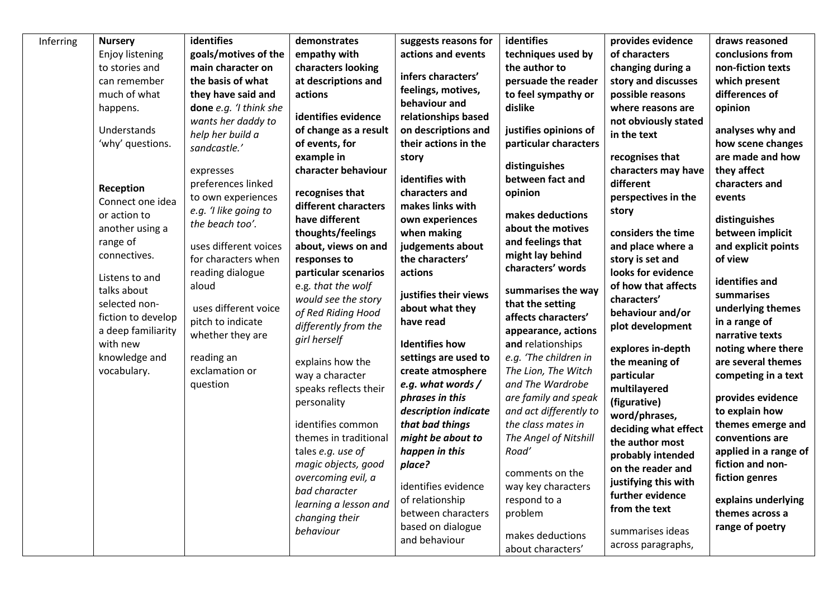| identifies<br>Inferring<br><b>Nursery</b><br>goals/motives of the<br>Enjoy listening<br>to stories and<br>main character on<br>the basis of what<br>can remember<br>much of what<br>they have said and<br>done e.g. 'I think she<br>happens.<br>wants her daddy to<br>Understands<br>help her build a<br>'why' questions.<br>sandcastle.'<br>expresses<br>preferences linked<br>Reception<br>to own experiences<br>Connect one idea<br>e.g. 'I like going to<br>or action to<br>the beach too'.<br>another using a<br>range of<br>uses different voices<br>connectives.<br>for characters when<br>reading dialogue<br>Listens to and<br>aloud<br>talks about<br>selected non-<br>uses different voice<br>fiction to develop<br>pitch to indicate<br>a deep familiarity<br>whether they are<br>with new<br>knowledge and<br>reading an<br>vocabulary.<br>exclamation or<br>question | demonstrates<br>empathy with<br>characters looking<br>at descriptions and<br>actions<br>identifies evidence<br>of change as a result<br>of events, for<br>example in<br>character behaviour<br>recognises that<br>different characters<br>have different<br>thoughts/feelings<br>about, views on and<br>responses to<br>particular scenarios<br>e.g. that the wolf<br>would see the story<br>of Red Riding Hood<br>differently from the<br>girl herself<br>explains how the<br>way a character<br>speaks reflects their<br>personality | suggests reasons for<br>actions and events<br>infers characters'<br>feelings, motives,<br>behaviour and<br>relationships based<br>on descriptions and<br>their actions in the<br>story<br>identifies with<br>characters and<br>makes links with<br>own experiences<br>when making<br>judgements about<br>the characters'<br>actions<br>justifies their views<br>about what they<br>have read<br><b>Identifies how</b><br>settings are used to<br>create atmosphere<br>e.g. what words /<br>phrases in this | identifies<br>techniques used by<br>the author to<br>persuade the reader<br>to feel sympathy or<br>dislike<br>justifies opinions of<br>particular characters<br>distinguishes<br>between fact and<br>opinion<br>makes deductions<br>about the motives<br>and feelings that<br>might lay behind<br>characters' words<br>summarises the way<br>that the setting<br>affects characters'<br>appearance, actions<br>and relationships<br>e.g. 'The children in<br>The Lion, The Witch<br>and The Wardrobe<br>are family and speak | provides evidence<br>of characters<br>changing during a<br>story and discusses<br>possible reasons<br>where reasons are<br>not obviously stated<br>in the text<br>recognises that<br>characters may have<br>different<br>perspectives in the<br>story<br>considers the time<br>and place where a<br>story is set and<br>looks for evidence<br>of how that affects<br>characters'<br>behaviour and/or<br>plot development<br>explores in-depth<br>the meaning of<br>particular<br>multilayered<br>(figurative) | draws reasoned<br>conclusions from<br>non-fiction texts<br>which present<br>differences of<br>opinion<br>analyses why and<br>how scene changes<br>are made and how<br>they affect<br>characters and<br>events<br>distinguishes<br>between implicit<br>and explicit points<br>of view<br>identifies and<br>summarises<br>underlying themes<br>in a range of<br>narrative texts<br>noting where there<br>are several themes<br>competing in a text<br>provides evidence |
|------------------------------------------------------------------------------------------------------------------------------------------------------------------------------------------------------------------------------------------------------------------------------------------------------------------------------------------------------------------------------------------------------------------------------------------------------------------------------------------------------------------------------------------------------------------------------------------------------------------------------------------------------------------------------------------------------------------------------------------------------------------------------------------------------------------------------------------------------------------------------------|----------------------------------------------------------------------------------------------------------------------------------------------------------------------------------------------------------------------------------------------------------------------------------------------------------------------------------------------------------------------------------------------------------------------------------------------------------------------------------------------------------------------------------------|------------------------------------------------------------------------------------------------------------------------------------------------------------------------------------------------------------------------------------------------------------------------------------------------------------------------------------------------------------------------------------------------------------------------------------------------------------------------------------------------------------|------------------------------------------------------------------------------------------------------------------------------------------------------------------------------------------------------------------------------------------------------------------------------------------------------------------------------------------------------------------------------------------------------------------------------------------------------------------------------------------------------------------------------|---------------------------------------------------------------------------------------------------------------------------------------------------------------------------------------------------------------------------------------------------------------------------------------------------------------------------------------------------------------------------------------------------------------------------------------------------------------------------------------------------------------|-----------------------------------------------------------------------------------------------------------------------------------------------------------------------------------------------------------------------------------------------------------------------------------------------------------------------------------------------------------------------------------------------------------------------------------------------------------------------|
|                                                                                                                                                                                                                                                                                                                                                                                                                                                                                                                                                                                                                                                                                                                                                                                                                                                                                    | identifies common<br>themes in traditional<br>tales e.g. use of<br>magic objects, good<br>overcoming evil, a<br>bad character<br>learning a lesson and<br>changing their<br>behaviour                                                                                                                                                                                                                                                                                                                                                  | description indicate<br>that bad things<br>might be about to<br>happen in this<br>place?<br>identifies evidence<br>of relationship<br>between characters<br>based on dialogue<br>and behaviour                                                                                                                                                                                                                                                                                                             | and act differently to<br>the class mates in<br>The Angel of Nitshill<br>Road'<br>comments on the<br>way key characters<br>respond to a<br>problem<br>makes deductions<br>about characters'                                                                                                                                                                                                                                                                                                                                  | word/phrases,<br>deciding what effect<br>the author most<br>probably intended<br>on the reader and<br>justifying this with<br>further evidence<br>from the text<br>summarises ideas<br>across paragraphs,                                                                                                                                                                                                                                                                                                     | to explain how<br>themes emerge and<br>conventions are<br>applied in a range of<br>fiction and non-<br>fiction genres<br>explains underlying<br>themes across a<br>range of poetry                                                                                                                                                                                                                                                                                    |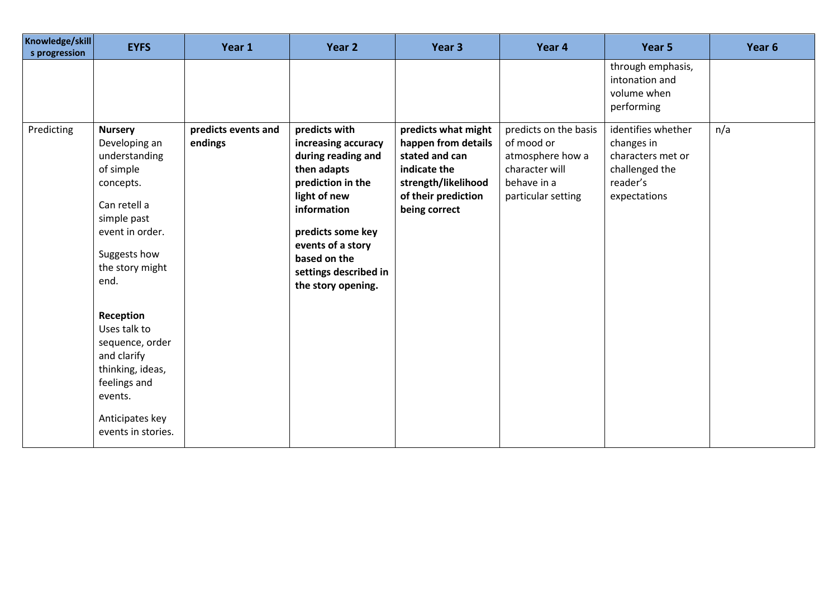| Knowledge/skill<br>s progression | <b>EYFS</b>                                                                                                                                                             | Year 1                         | Year 2                                                                                                                                                                                                                                 | Year <sub>3</sub>                                                                                                                           | Year 4                                                                                                         | Year 5                                                                                              | Year 6 |
|----------------------------------|-------------------------------------------------------------------------------------------------------------------------------------------------------------------------|--------------------------------|----------------------------------------------------------------------------------------------------------------------------------------------------------------------------------------------------------------------------------------|---------------------------------------------------------------------------------------------------------------------------------------------|----------------------------------------------------------------------------------------------------------------|-----------------------------------------------------------------------------------------------------|--------|
|                                  |                                                                                                                                                                         |                                |                                                                                                                                                                                                                                        |                                                                                                                                             |                                                                                                                | through emphasis,<br>intonation and<br>volume when<br>performing                                    |        |
| Predicting                       | <b>Nursery</b><br>Developing an<br>understanding<br>of simple<br>concepts.<br>Can retell a<br>simple past<br>event in order.<br>Suggests how<br>the story might<br>end. | predicts events and<br>endings | predicts with<br>increasing accuracy<br>during reading and<br>then adapts<br>prediction in the<br>light of new<br>information<br>predicts some key<br>events of a story<br>based on the<br>settings described in<br>the story opening. | predicts what might<br>happen from details<br>stated and can<br>indicate the<br>strength/likelihood<br>of their prediction<br>being correct | predicts on the basis<br>of mood or<br>atmosphere how a<br>character will<br>behave in a<br>particular setting | identifies whether<br>changes in<br>characters met or<br>challenged the<br>reader's<br>expectations | n/a    |
|                                  | Reception<br>Uses talk to<br>sequence, order<br>and clarify<br>thinking, ideas,<br>feelings and<br>events.<br>Anticipates key<br>events in stories.                     |                                |                                                                                                                                                                                                                                        |                                                                                                                                             |                                                                                                                |                                                                                                     |        |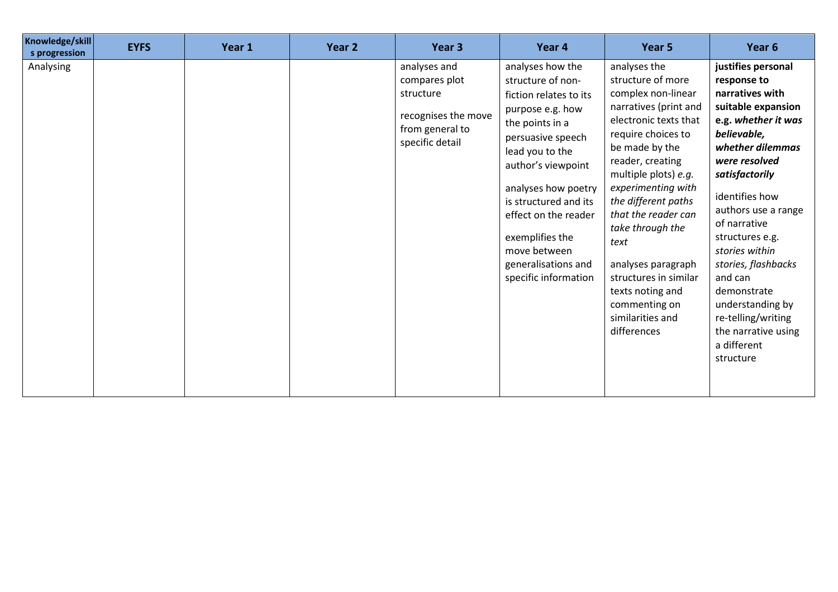| Knowledge/skill<br>s progression | <b>EYFS</b> | Year 1 | Year 2 | Year 3                                                                                                  | Year 4                                                                                                                                                                                                                                                                                                                         | Year 5                                                                                                                                                                                                                                                                                                                                                                                                               | Year 6                                                                                                                                                                                                                                                                                                                                                                                                              |
|----------------------------------|-------------|--------|--------|---------------------------------------------------------------------------------------------------------|--------------------------------------------------------------------------------------------------------------------------------------------------------------------------------------------------------------------------------------------------------------------------------------------------------------------------------|----------------------------------------------------------------------------------------------------------------------------------------------------------------------------------------------------------------------------------------------------------------------------------------------------------------------------------------------------------------------------------------------------------------------|---------------------------------------------------------------------------------------------------------------------------------------------------------------------------------------------------------------------------------------------------------------------------------------------------------------------------------------------------------------------------------------------------------------------|
| Analysing                        |             |        |        | analyses and<br>compares plot<br>structure<br>recognises the move<br>from general to<br>specific detail | analyses how the<br>structure of non-<br>fiction relates to its<br>purpose e.g. how<br>the points in a<br>persuasive speech<br>lead you to the<br>author's viewpoint<br>analyses how poetry<br>is structured and its<br>effect on the reader<br>exemplifies the<br>move between<br>generalisations and<br>specific information | analyses the<br>structure of more<br>complex non-linear<br>narratives (print and<br>electronic texts that<br>require choices to<br>be made by the<br>reader, creating<br>multiple plots) e.g.<br>experimenting with<br>the different paths<br>that the reader can<br>take through the<br>text<br>analyses paragraph<br>structures in similar<br>texts noting and<br>commenting on<br>similarities and<br>differences | justifies personal<br>response to<br>narratives with<br>suitable expansion<br>e.g. whether it was<br>believable,<br>whether dilemmas<br>were resolved<br>satisfactorily<br>identifies how<br>authors use a range<br>of narrative<br>structures e.g.<br>stories within<br>stories, flashbacks<br>and can<br>demonstrate<br>understanding by<br>re-telling/writing<br>the narrative using<br>a different<br>structure |